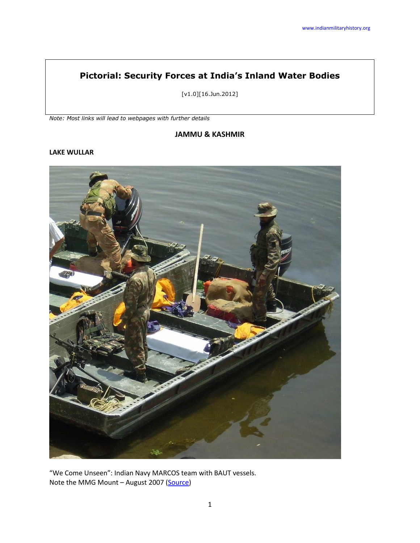# **Pictorial: Security Forces at India's Inland Water Bodies**

[v1.0][16.Jun.2012]

*Note: Most links will lead to webpages with further details*

#### **JAMMU & KASHMIR**

#### **LAKE WULLAR**



"We Come Unseen": Indian Navy MARCOS team with BAUT vessels. Note the MMG Mount - August 2007 [\(Source\)](http://kashmir-leh.blogspot.in/2007/08/wular-lake-and-its-crocs.html)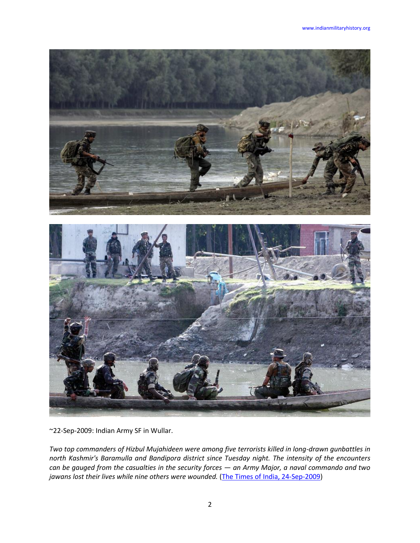

~22-Sep-2009: Indian Army SF in Wullar.

*Two top commanders of Hizbul Mujahideen were among five terrorists killed in long-drawn gunbattles in north Kashmir's Baramulla and Bandipora district since Tuesday night. The intensity of the encounters can be gauged from the casualties in the security forces — an Army Major, a naval commando and two jawans lost their lives while nine others were wounded.* [\(The Times of India, 24-Sep-2009\)](http://articles.timesofindia.indiatimes.com/2009-09-24/india/28075162_1_bandipora-district-terrorists-and-two-baniyar-ajus)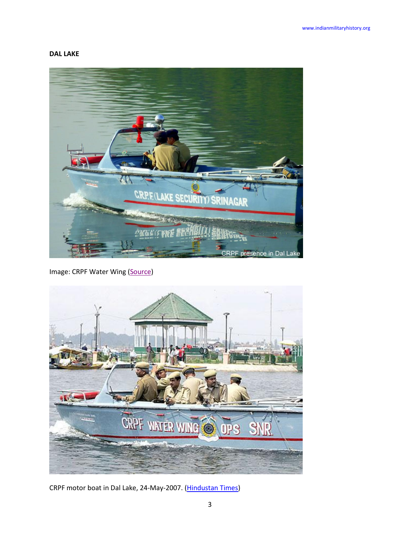# **DAL LAKE**



Image: CRPF Water Wing [\(Source\)](http://restlesssouldier.blogspot.in/2010/07/life-in-house-boat-part-ii.html)



CRPF motor boat in Dal Lake, 24-May-2007. [\(Hindustan Times\)](http://www.hindustantimes.com/photos-news/Photos-India/May242007Indiainpics/Article4-224884.aspx)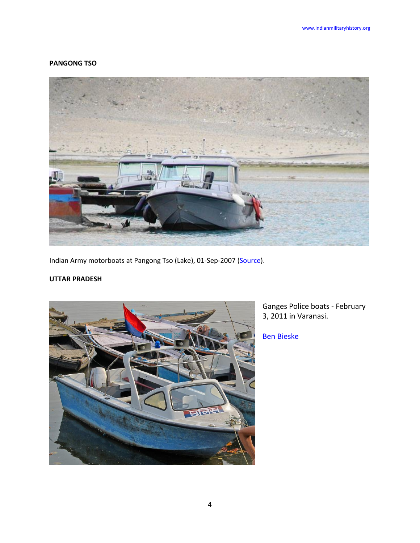#### **PANGONG TSO**



Indian Army motorboats at Pangong Tso (Lake), 01-Sep-2007 [\(Source\)](http://www.flickr.com/photos/13458105@N02/1381691918/).

# **UTTAR PRADESH**



Ganges Police boats - February 3, 2011 in Varanasi.

[Ben Bieske](http://www.flickr.com/photos/benbeiske/)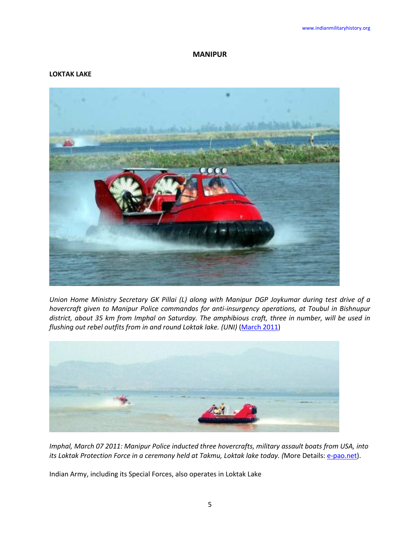### **MANIPUR**

#### **LOKTAK LAKE**



*Union Home Ministry Secretary GK Pillai (L) along with Manipur DGP Joykumar during test drive of a hovercraft given to Manipur Police commandos for anti-insurgency operations, at Toubul in Bishnupur district, about 35 km from Imphal on Saturday. The amphibious craft, three in number, will be used in flushing out rebel outfits from in and round Loktak lake. (UNI)* [\(March](http://www.theshillongtimes.com/) 2011)



*Imphal, March 07 2011: Manipur Police inducted three hovercrafts, military assault boats from USA, into its Loktak Protection Force in a ceremony held at Takmu, Loktak lake today. (More Details: [e-pao.net\)](http://e-pao.net/GP.asp?src=13..080311.mar11).* 

Indian Army, including its Special Forces, also operates in Loktak Lake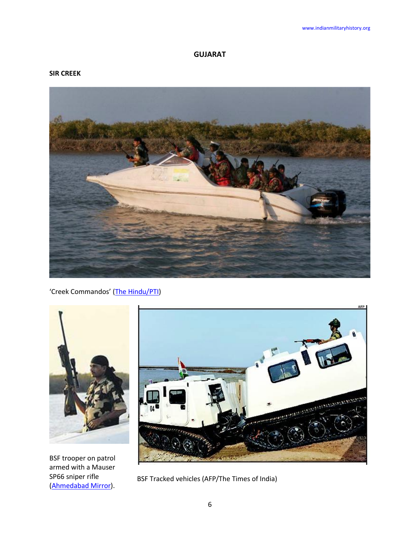# **GUJARAT**

## **SIR CREEK**



'Creek Commandos' [\(The Hindu/PTI\)](http://www.thehindu.com/news/national/article55551.ece)



BSF trooper on patrol armed with a Mauser SP66 sniper rifle [\(Ahmedabad Mirror\)](http://www.ahmedabadmirror.com/).



BSF Tracked vehicles (AFP/The Times of India)